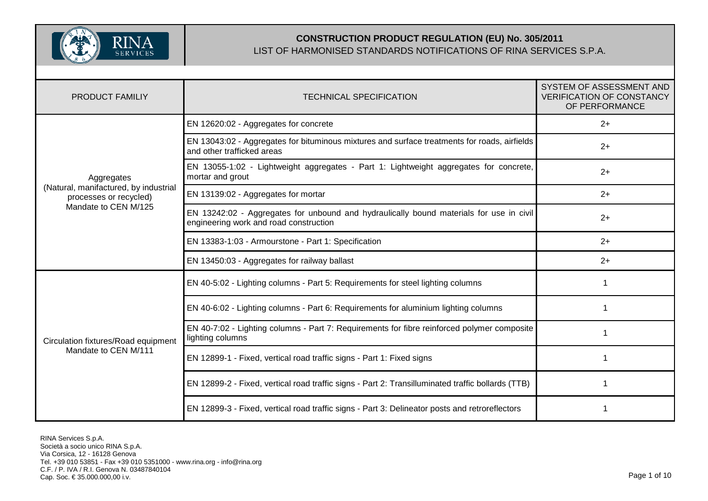

| <b>PRODUCT FAMILIY</b>                                          | <b>TECHNICAL SPECIFICATION</b>                                                                                                    | SYSTEM OF ASSESSMENT AND<br><b>VERIFICATION OF CONSTANCY</b><br>OF PERFORMANCE |
|-----------------------------------------------------------------|-----------------------------------------------------------------------------------------------------------------------------------|--------------------------------------------------------------------------------|
| Aggregates                                                      | EN 12620:02 - Aggregates for concrete                                                                                             | $2+$                                                                           |
|                                                                 | EN 13043:02 - Aggregates for bituminous mixtures and surface treatments for roads, airfields<br>and other trafficked areas        | $2+$                                                                           |
|                                                                 | EN 13055-1:02 - Lightweight aggregates - Part 1: Lightweight aggregates for concrete,<br>mortar and grout                         | $2+$                                                                           |
| (Natural, manifactured, by industrial<br>processes or recycled) | EN 13139:02 - Aggregates for mortar                                                                                               | $2+$                                                                           |
| Mandate to CEN M/125                                            | EN 13242:02 - Aggregates for unbound and hydraulically bound materials for use in civil<br>engineering work and road construction | $2+$                                                                           |
|                                                                 | EN 13383-1:03 - Armourstone - Part 1: Specification                                                                               | $2+$                                                                           |
|                                                                 | EN 13450:03 - Aggregates for railway ballast                                                                                      | $2+$                                                                           |
| Circulation fixtures/Road equipment<br>Mandate to CEN M/111     | EN 40-5:02 - Lighting columns - Part 5: Requirements for steel lighting columns                                                   |                                                                                |
|                                                                 | EN 40-6:02 - Lighting columns - Part 6: Requirements for aluminium lighting columns                                               |                                                                                |
|                                                                 | EN 40-7:02 - Lighting columns - Part 7: Requirements for fibre reinforced polymer composite<br>lighting columns                   |                                                                                |
|                                                                 | EN 12899-1 - Fixed, vertical road traffic signs - Part 1: Fixed signs                                                             |                                                                                |
|                                                                 | EN 12899-2 - Fixed, vertical road traffic signs - Part 2: Transilluminated traffic bollards (TTB)                                 |                                                                                |
|                                                                 | EN 12899-3 - Fixed, vertical road traffic signs - Part 3: Delineator posts and retroreflectors                                    |                                                                                |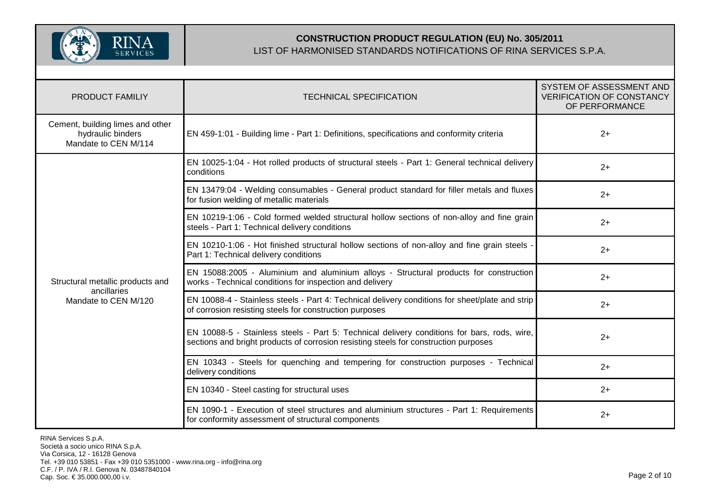

| <b>PRODUCT FAMILIY</b>                                                        | <b>TECHNICAL SPECIFICATION</b>                                                                                                                                                      | SYSTEM OF ASSESSMENT AND<br><b>VERIFICATION OF CONSTANCY</b><br>OF PERFORMANCE |
|-------------------------------------------------------------------------------|-------------------------------------------------------------------------------------------------------------------------------------------------------------------------------------|--------------------------------------------------------------------------------|
| Cement, building limes and other<br>hydraulic binders<br>Mandate to CEN M/114 | EN 459-1:01 - Building lime - Part 1: Definitions, specifications and conformity criteria                                                                                           | $2+$                                                                           |
|                                                                               | EN 10025-1:04 - Hot rolled products of structural steels - Part 1: General technical delivery<br>conditions                                                                         | $2+$                                                                           |
|                                                                               | EN 13479:04 - Welding consumables - General product standard for filler metals and fluxes<br>for fusion welding of metallic materials                                               | $2+$                                                                           |
|                                                                               | EN 10219-1:06 - Cold formed welded structural hollow sections of non-alloy and fine grain<br>steels - Part 1: Technical delivery conditions                                         | $2+$                                                                           |
| Structural metallic products and<br>ancillaries<br>Mandate to CEN M/120       | EN 10210-1:06 - Hot finished structural hollow sections of non-alloy and fine grain steels -<br>Part 1: Technical delivery conditions                                               | $2+$                                                                           |
|                                                                               | EN 15088:2005 - Aluminium and aluminium alloys - Structural products for construction<br>works - Technical conditions for inspection and delivery                                   | $2+$                                                                           |
|                                                                               | EN 10088-4 - Stainless steels - Part 4: Technical delivery conditions for sheet/plate and strip<br>of corrosion resisting steels for construction purposes                          | $2+$                                                                           |
|                                                                               | EN 10088-5 - Stainless steels - Part 5: Technical delivery conditions for bars, rods, wire,<br>sections and bright products of corrosion resisting steels for construction purposes | $2+$                                                                           |
|                                                                               | EN 10343 - Steels for quenching and tempering for construction purposes - Technical<br>delivery conditions                                                                          | $2+$                                                                           |
|                                                                               | EN 10340 - Steel casting for structural uses                                                                                                                                        | $2+$                                                                           |
|                                                                               | EN 1090-1 - Execution of steel structures and aluminium structures - Part 1: Requirements<br>for conformity assessment of structural components                                     | $2+$                                                                           |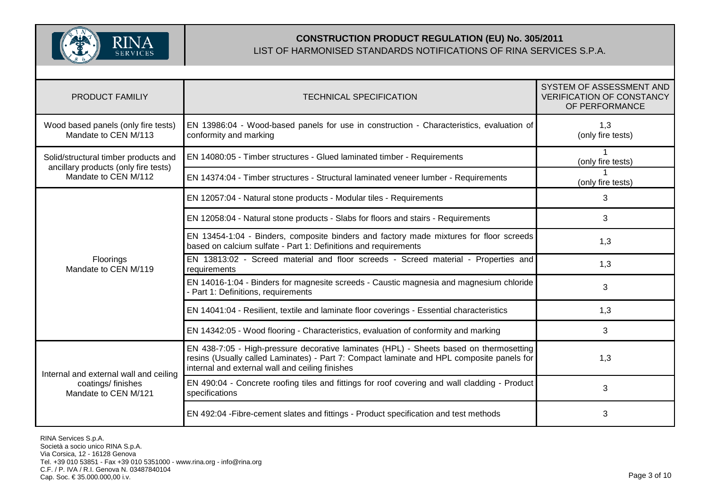

| <b>PRODUCT FAMILIY</b>                                                              | <b>TECHNICAL SPECIFICATION</b>                                                                                                                                                                                                         | SYSTEM OF ASSESSMENT AND<br><b>VERIFICATION OF CONSTANCY</b><br>OF PERFORMANCE |
|-------------------------------------------------------------------------------------|----------------------------------------------------------------------------------------------------------------------------------------------------------------------------------------------------------------------------------------|--------------------------------------------------------------------------------|
| Wood based panels (only fire tests)<br>Mandate to CEN M/113                         | EN 13986:04 - Wood-based panels for use in construction - Characteristics, evaluation of<br>conformity and marking                                                                                                                     | 1,3<br>(only fire tests)                                                       |
| Solid/structural timber products and                                                | EN 14080:05 - Timber structures - Glued laminated timber - Requirements                                                                                                                                                                | (only fire tests)                                                              |
| ancillary products (only fire tests)<br>Mandate to CEN M/112                        | EN 14374:04 - Timber structures - Structural laminated veneer lumber - Requirements                                                                                                                                                    | (only fire tests)                                                              |
|                                                                                     | EN 12057:04 - Natural stone products - Modular tiles - Requirements                                                                                                                                                                    | 3                                                                              |
|                                                                                     | EN 12058:04 - Natural stone products - Slabs for floors and stairs - Requirements                                                                                                                                                      | 3                                                                              |
|                                                                                     | EN 13454-1:04 - Binders, composite binders and factory made mixtures for floor screeds<br>based on calcium sulfate - Part 1: Definitions and requirements                                                                              | 1,3                                                                            |
| Floorings<br>Mandate to CEN M/119                                                   | EN 13813:02 - Screed material and floor screeds - Screed material - Properties and<br>requirements                                                                                                                                     | 1,3                                                                            |
|                                                                                     | EN 14016-1:04 - Binders for magnesite screeds - Caustic magnesia and magnesium chloride<br>Part 1: Definitions, requirements                                                                                                           | 3                                                                              |
|                                                                                     | EN 14041:04 - Resilient, textile and laminate floor coverings - Essential characteristics                                                                                                                                              | 1,3                                                                            |
|                                                                                     | EN 14342:05 - Wood flooring - Characteristics, evaluation of conformity and marking                                                                                                                                                    | 3                                                                              |
| Internal and external wall and ceiling<br>coatings/finishes<br>Mandate to CEN M/121 | EN 438-7:05 - High-pressure decorative laminates (HPL) - Sheets based on thermosetting<br>resins (Usually called Laminates) - Part 7: Compact laminate and HPL composite panels for<br>internal and external wall and ceiling finishes | 1,3                                                                            |
|                                                                                     | EN 490:04 - Concrete roofing tiles and fittings for roof covering and wall cladding - Product<br>specifications                                                                                                                        | 3                                                                              |
|                                                                                     | EN 492:04 - Fibre-cement slates and fittings - Product specification and test methods                                                                                                                                                  | 3                                                                              |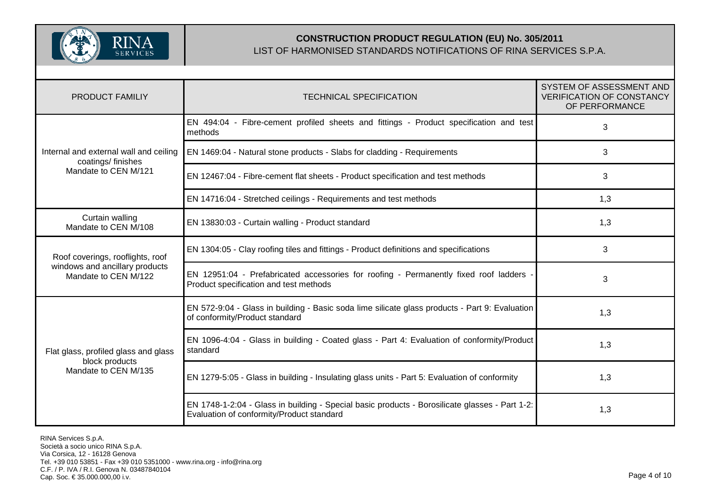

| <b>PRODUCT FAMILIY</b>                                                                     | <b>TECHNICAL SPECIFICATION</b>                                                                                                              | SYSTEM OF ASSESSMENT AND<br><b>VERIFICATION OF CONSTANCY</b><br>OF PERFORMANCE |
|--------------------------------------------------------------------------------------------|---------------------------------------------------------------------------------------------------------------------------------------------|--------------------------------------------------------------------------------|
|                                                                                            | EN 494:04 - Fibre-cement profiled sheets and fittings - Product specification and test<br>methods                                           | 3                                                                              |
| Internal and external wall and ceiling<br>coatings/finishes                                | EN 1469:04 - Natural stone products - Slabs for cladding - Requirements                                                                     | 3                                                                              |
| Mandate to CEN M/121                                                                       | EN 12467:04 - Fibre-cement flat sheets - Product specification and test methods                                                             | 3                                                                              |
|                                                                                            | EN 14716:04 - Stretched ceilings - Requirements and test methods                                                                            | 1,3                                                                            |
| Curtain walling<br>Mandate to CEN M/108                                                    | EN 13830:03 - Curtain walling - Product standard                                                                                            | 1,3                                                                            |
| Roof coverings, rooflights, roof<br>windows and ancillary products<br>Mandate to CEN M/122 | EN 1304:05 - Clay roofing tiles and fittings - Product definitions and specifications                                                       | 3                                                                              |
|                                                                                            | EN 12951:04 - Prefabricated accessories for roofing - Permanently fixed roof ladders<br>Product specification and test methods              | 3                                                                              |
| Flat glass, profiled glass and glass<br>block products<br>Mandate to CEN M/135             | EN 572-9:04 - Glass in building - Basic soda lime silicate glass products - Part 9: Evaluation<br>of conformity/Product standard            | 1,3                                                                            |
|                                                                                            | EN 1096-4:04 - Glass in building - Coated glass - Part 4: Evaluation of conformity/Product<br>standard                                      | 1,3                                                                            |
|                                                                                            | EN 1279-5:05 - Glass in building - Insulating glass units - Part 5: Evaluation of conformity                                                | 1,3                                                                            |
|                                                                                            | EN 1748-1-2:04 - Glass in building - Special basic products - Borosilicate glasses - Part 1-2:<br>Evaluation of conformity/Product standard | 1,3                                                                            |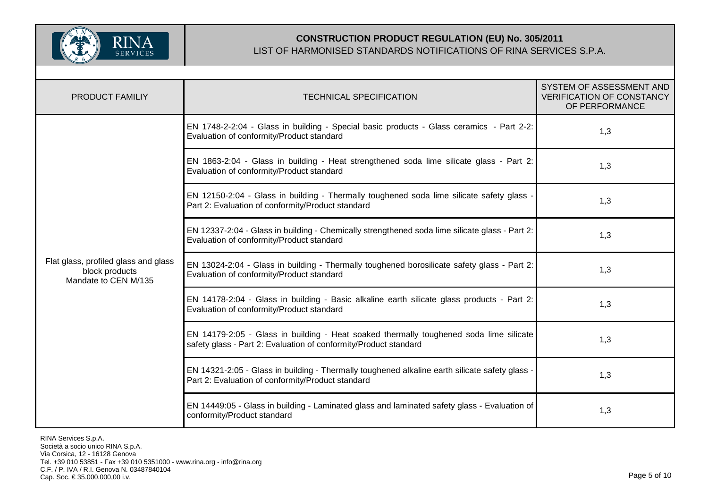

| PRODUCT FAMILIY                                                                | <b>TECHNICAL SPECIFICATION</b>                                                                                                                             | SYSTEM OF ASSESSMENT AND<br><b>VERIFICATION OF CONSTANCY</b><br>OF PERFORMANCE |
|--------------------------------------------------------------------------------|------------------------------------------------------------------------------------------------------------------------------------------------------------|--------------------------------------------------------------------------------|
| Flat glass, profiled glass and glass<br>block products<br>Mandate to CEN M/135 | EN 1748-2-2:04 - Glass in building - Special basic products - Glass ceramics - Part 2-2:<br>Evaluation of conformity/Product standard                      | 1,3                                                                            |
|                                                                                | EN 1863-2:04 - Glass in building - Heat strengthened soda lime silicate glass - Part 2:<br>Evaluation of conformity/Product standard                       | 1,3                                                                            |
|                                                                                | EN 12150-2:04 - Glass in building - Thermally toughened soda lime silicate safety glass -<br>Part 2: Evaluation of conformity/Product standard             | 1,3                                                                            |
|                                                                                | EN 12337-2:04 - Glass in building - Chemically strengthened soda lime silicate glass - Part 2:<br>Evaluation of conformity/Product standard                | 1,3                                                                            |
|                                                                                | EN 13024-2:04 - Glass in building - Thermally toughened borosilicate safety glass - Part 2:<br>Evaluation of conformity/Product standard                   | 1,3                                                                            |
|                                                                                | EN 14178-2:04 - Glass in building - Basic alkaline earth silicate glass products - Part 2:<br>Evaluation of conformity/Product standard                    | 1,3                                                                            |
|                                                                                | EN 14179-2:05 - Glass in building - Heat soaked thermally toughened soda lime silicate<br>safety glass - Part 2: Evaluation of conformity/Product standard | 1,3                                                                            |
|                                                                                | EN 14321-2:05 - Glass in building - Thermally toughened alkaline earth silicate safety glass -<br>Part 2: Evaluation of conformity/Product standard        | 1,3                                                                            |
|                                                                                | EN 14449:05 - Glass in building - Laminated glass and laminated safety glass - Evaluation of<br>conformity/Product standard                                | 1,3                                                                            |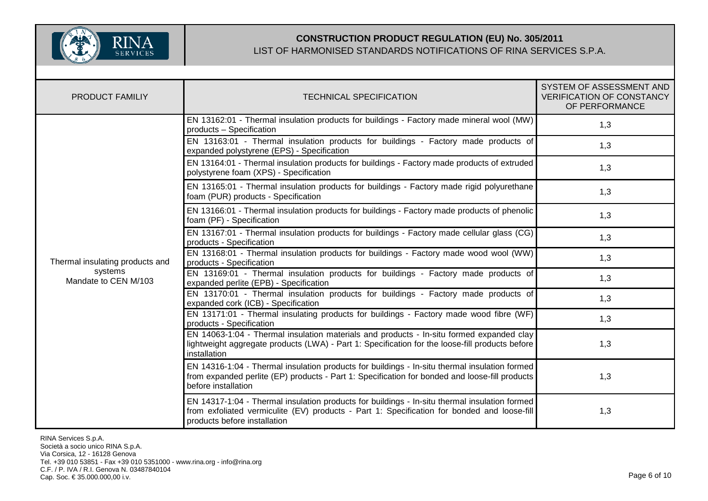

| <b>PRODUCT FAMILIY</b>          | <b>TECHNICAL SPECIFICATION</b>                                                                                                                                                                                               | SYSTEM OF ASSESSMENT AND<br><b>VERIFICATION OF CONSTANCY</b><br>OF PERFORMANCE |
|---------------------------------|------------------------------------------------------------------------------------------------------------------------------------------------------------------------------------------------------------------------------|--------------------------------------------------------------------------------|
|                                 | EN 13162:01 - Thermal insulation products for buildings - Factory made mineral wool (MW)<br>products - Specification                                                                                                         | 1,3                                                                            |
|                                 | EN 13163:01 - Thermal insulation products for buildings - Factory made products of<br>expanded polystyrene (EPS) - Specification                                                                                             | 1,3                                                                            |
|                                 | EN 13164:01 - Thermal insulation products for buildings - Factory made products of extruded<br>polystyrene foam (XPS) - Specification                                                                                        | 1,3                                                                            |
|                                 | EN 13165:01 - Thermal insulation products for buildings - Factory made rigid polyurethane<br>foam (PUR) products - Specification                                                                                             | 1,3                                                                            |
|                                 | EN 13166:01 - Thermal insulation products for buildings - Factory made products of phenolic<br>foam (PF) - Specification                                                                                                     | 1,3                                                                            |
|                                 | EN 13167:01 - Thermal insulation products for buildings - Factory made cellular glass (CG)<br>products - Specification                                                                                                       | 1,3                                                                            |
| Thermal insulating products and | EN 13168:01 - Thermal insulation products for buildings - Factory made wood wool (WW)<br>products - Specification                                                                                                            | 1,3                                                                            |
| systems<br>Mandate to CEN M/103 | EN 13169:01 - Thermal insulation products for buildings - Factory made products of<br>expanded perlite (EPB) - Specification                                                                                                 | 1,3                                                                            |
|                                 | EN 13170:01 - Thermal insulation products for buildings - Factory made products of<br>expanded cork (ICB) - Specification                                                                                                    | 1,3                                                                            |
|                                 | EN 13171:01 - Thermal insulating products for buildings - Factory made wood fibre (WF)<br>products - Specification                                                                                                           | 1,3                                                                            |
|                                 | EN 14063-1:04 - Thermal insulation materials and products - In-situ formed expanded clay<br>lightweight aggregate products (LWA) - Part 1: Specification for the loose-fill products before<br>installation                  | 1,3                                                                            |
|                                 | EN 14316-1:04 - Thermal insulation products for buildings - In-situ thermal insulation formed<br>from expanded perlite (EP) products - Part 1: Specification for bonded and loose-fill products<br>before installation       | 1,3                                                                            |
|                                 | EN 14317-1:04 - Thermal insulation products for buildings - In-situ thermal insulation formed<br>from exfoliated vermiculite (EV) products - Part 1: Specification for bonded and loose-fill<br>products before installation | 1,3                                                                            |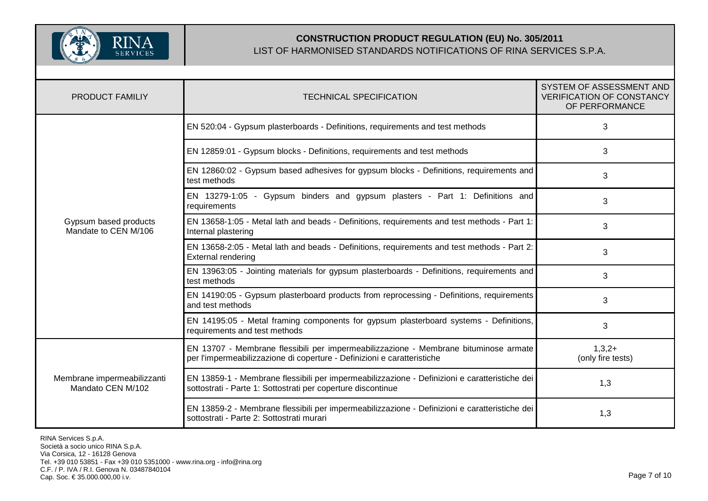

| <b>PRODUCT FAMILIY</b>                           | <b>TECHNICAL SPECIFICATION</b>                                                                                                                                  | SYSTEM OF ASSESSMENT AND<br><b>VERIFICATION OF CONSTANCY</b><br>OF PERFORMANCE |
|--------------------------------------------------|-----------------------------------------------------------------------------------------------------------------------------------------------------------------|--------------------------------------------------------------------------------|
| Gypsum based products<br>Mandate to CEN M/106    | EN 520:04 - Gypsum plasterboards - Definitions, requirements and test methods                                                                                   | 3                                                                              |
|                                                  | EN 12859:01 - Gypsum blocks - Definitions, requirements and test methods                                                                                        | 3                                                                              |
|                                                  | EN 12860:02 - Gypsum based adhesives for gypsum blocks - Definitions, requirements and<br>test methods                                                          | 3                                                                              |
|                                                  | EN 13279-1:05 - Gypsum binders and gypsum plasters - Part 1: Definitions and<br>requirements                                                                    | 3                                                                              |
|                                                  | EN 13658-1:05 - Metal lath and beads - Definitions, requirements and test methods - Part 1:<br>Internal plastering                                              | 3                                                                              |
|                                                  | EN 13658-2:05 - Metal lath and beads - Definitions, requirements and test methods - Part 2:<br><b>External rendering</b>                                        | 3                                                                              |
|                                                  | EN 13963:05 - Jointing materials for gypsum plasterboards - Definitions, requirements and<br>test methods                                                       | 3                                                                              |
|                                                  | EN 14190:05 - Gypsum plasterboard products from reprocessing - Definitions, requirements<br>and test methods                                                    | 3                                                                              |
|                                                  | EN 14195:05 - Metal framing components for gypsum plasterboard systems - Definitions,<br>requirements and test methods                                          | 3                                                                              |
| Membrane impermeabilizzanti<br>Mandato CEN M/102 | EN 13707 - Membrane flessibili per impermeabilizzazione - Membrane bituminose armate<br>per l'impermeabilizzazione di coperture - Definizioni e caratteristiche | $1,3,2+$<br>(only fire tests)                                                  |
|                                                  | EN 13859-1 - Membrane flessibili per impermeabilizzazione - Definizioni e caratteristiche dei<br>sottostrati - Parte 1: Sottostrati per coperture discontinue   | 1,3                                                                            |
|                                                  | EN 13859-2 - Membrane flessibili per impermeabilizzazione - Definizioni e caratteristiche dei<br>sottostrati - Parte 2: Sottostrati murari                      | 1,3                                                                            |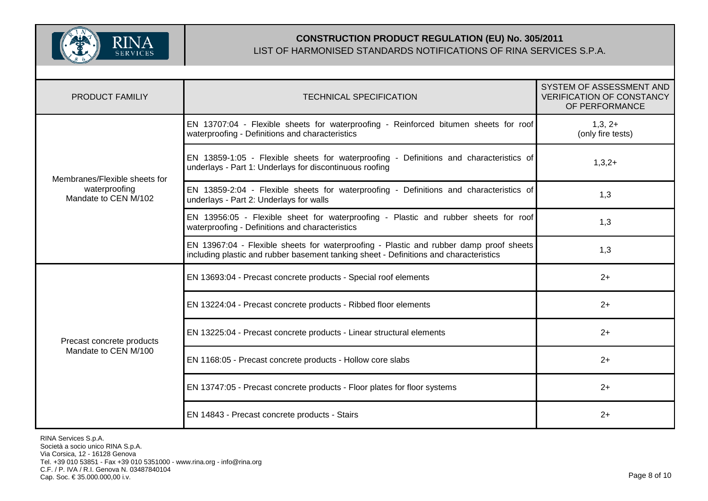

| <b>PRODUCT FAMILIY</b>                            | <b>TECHNICAL SPECIFICATION</b>                                                                                                                                                  | SYSTEM OF ASSESSMENT AND<br><b>VERIFICATION OF CONSTANCY</b><br>OF PERFORMANCE |
|---------------------------------------------------|---------------------------------------------------------------------------------------------------------------------------------------------------------------------------------|--------------------------------------------------------------------------------|
| Membranes/Flexible sheets for                     | EN 13707:04 - Flexible sheets for waterproofing - Reinforced bitumen sheets for roof<br>waterproofing - Definitions and characteristics                                         | $1,3,2+$<br>(only fire tests)                                                  |
|                                                   | EN 13859-1:05 - Flexible sheets for waterproofing - Definitions and characteristics of<br>underlays - Part 1: Underlays for discontinuous roofing                               | $1,3,2+$                                                                       |
| waterproofing<br>Mandate to CEN M/102             | EN 13859-2:04 - Flexible sheets for waterproofing - Definitions and characteristics of<br>underlays - Part 2: Underlays for walls                                               | 1,3                                                                            |
|                                                   | EN 13956:05 - Flexible sheet for waterproofing - Plastic and rubber sheets for roof<br>waterproofing - Definitions and characteristics                                          | 1,3                                                                            |
|                                                   | EN 13967:04 - Flexible sheets for waterproofing - Plastic and rubber damp proof sheets<br>including plastic and rubber basement tanking sheet - Definitions and characteristics | 1,3                                                                            |
| Precast concrete products<br>Mandate to CEN M/100 | EN 13693:04 - Precast concrete products - Special roof elements                                                                                                                 | $2+$                                                                           |
|                                                   | EN 13224:04 - Precast concrete products - Ribbed floor elements                                                                                                                 | $2+$                                                                           |
|                                                   | EN 13225:04 - Precast concrete products - Linear structural elements                                                                                                            | $2+$                                                                           |
|                                                   | EN 1168:05 - Precast concrete products - Hollow core slabs                                                                                                                      | $2+$                                                                           |
|                                                   | EN 13747:05 - Precast concrete products - Floor plates for floor systems                                                                                                        | $2+$                                                                           |
|                                                   | EN 14843 - Precast concrete products - Stairs                                                                                                                                   | $2+$                                                                           |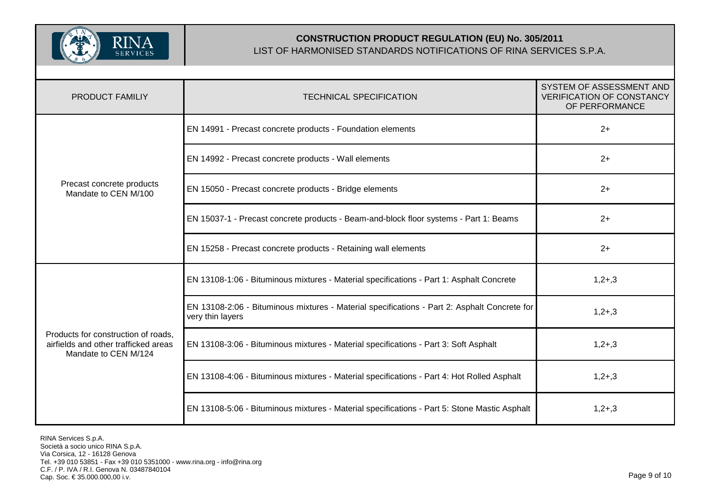

| <b>PRODUCT FAMILIY</b>                                                                              | <b>TECHNICAL SPECIFICATION</b>                                                                                   | SYSTEM OF ASSESSMENT AND<br><b>VERIFICATION OF CONSTANCY</b><br>OF PERFORMANCE |
|-----------------------------------------------------------------------------------------------------|------------------------------------------------------------------------------------------------------------------|--------------------------------------------------------------------------------|
|                                                                                                     | EN 14991 - Precast concrete products - Foundation elements                                                       | $2+$                                                                           |
|                                                                                                     | EN 14992 - Precast concrete products - Wall elements                                                             | $2+$                                                                           |
| Precast concrete products<br>Mandate to CEN M/100                                                   | EN 15050 - Precast concrete products - Bridge elements                                                           | $2+$                                                                           |
|                                                                                                     | EN 15037-1 - Precast concrete products - Beam-and-block floor systems - Part 1: Beams                            | $2+$                                                                           |
|                                                                                                     | EN 15258 - Precast concrete products - Retaining wall elements                                                   | $2+$                                                                           |
| Products for construction of roads,<br>airfields and other trafficked areas<br>Mandate to CEN M/124 | EN 13108-1:06 - Bituminous mixtures - Material specifications - Part 1: Asphalt Concrete                         | $1,2+,3$                                                                       |
|                                                                                                     | EN 13108-2:06 - Bituminous mixtures - Material specifications - Part 2: Asphalt Concrete for<br>very thin layers | $1,2+,3$                                                                       |
|                                                                                                     | EN 13108-3:06 - Bituminous mixtures - Material specifications - Part 3: Soft Asphalt                             | $1,2+,3$                                                                       |
|                                                                                                     | EN 13108-4:06 - Bituminous mixtures - Material specifications - Part 4: Hot Rolled Asphalt                       | $1,2+,3$                                                                       |
|                                                                                                     | EN 13108-5:06 - Bituminous mixtures - Material specifications - Part 5: Stone Mastic Asphalt                     | $1,2+,3$                                                                       |